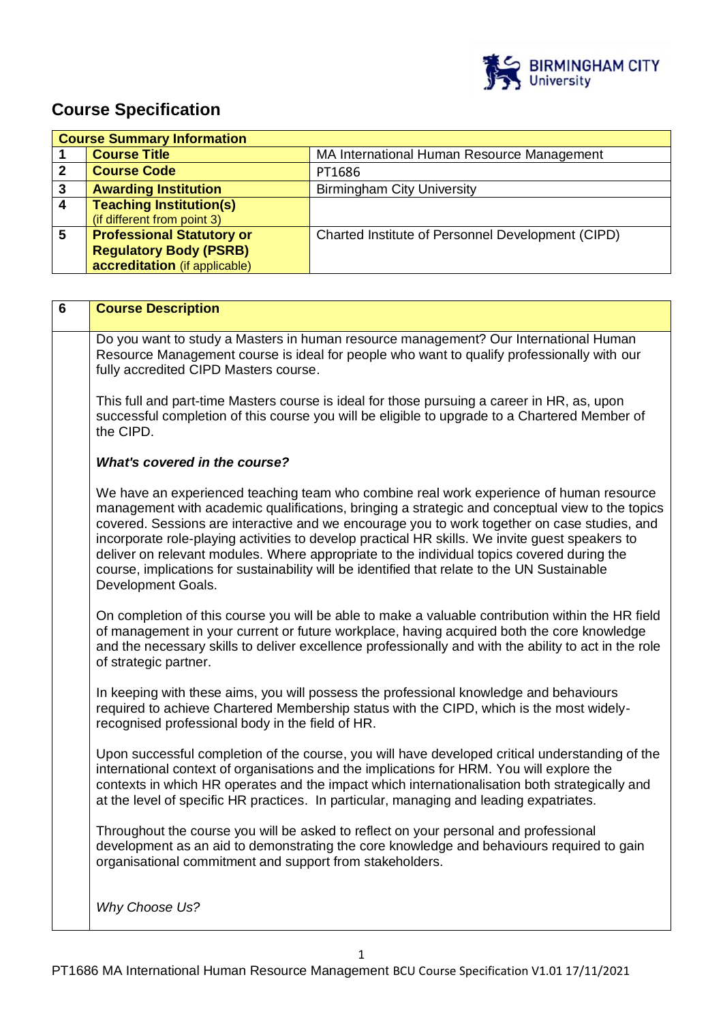

# **Course Specification**

| <b>Course Summary Information</b> |                                  |                                                   |  |  |
|-----------------------------------|----------------------------------|---------------------------------------------------|--|--|
|                                   | <b>Course Title</b>              | MA International Human Resource Management        |  |  |
| 2                                 | <b>Course Code</b>               | PT1686                                            |  |  |
| 3                                 | <b>Awarding Institution</b>      | <b>Birmingham City University</b>                 |  |  |
| 4                                 | <b>Teaching Institution(s)</b>   |                                                   |  |  |
|                                   | (if different from point 3)      |                                                   |  |  |
| 5                                 | <b>Professional Statutory or</b> | Charted Institute of Personnel Development (CIPD) |  |  |
|                                   | <b>Regulatory Body (PSRB)</b>    |                                                   |  |  |
|                                   | accreditation (if applicable)    |                                                   |  |  |

| 6 | <b>Course Description</b>                                                                                                                                                                                                                                                                                                                                                                                                                                                                                                                                                                                         |
|---|-------------------------------------------------------------------------------------------------------------------------------------------------------------------------------------------------------------------------------------------------------------------------------------------------------------------------------------------------------------------------------------------------------------------------------------------------------------------------------------------------------------------------------------------------------------------------------------------------------------------|
|   | Do you want to study a Masters in human resource management? Our International Human<br>Resource Management course is ideal for people who want to qualify professionally with our<br>fully accredited CIPD Masters course.                                                                                                                                                                                                                                                                                                                                                                                       |
|   | This full and part-time Masters course is ideal for those pursuing a career in HR, as, upon<br>successful completion of this course you will be eligible to upgrade to a Chartered Member of<br>the CIPD.                                                                                                                                                                                                                                                                                                                                                                                                         |
|   | <b>What's covered in the course?</b>                                                                                                                                                                                                                                                                                                                                                                                                                                                                                                                                                                              |
|   | We have an experienced teaching team who combine real work experience of human resource<br>management with academic qualifications, bringing a strategic and conceptual view to the topics<br>covered. Sessions are interactive and we encourage you to work together on case studies, and<br>incorporate role-playing activities to develop practical HR skills. We invite guest speakers to<br>deliver on relevant modules. Where appropriate to the individual topics covered during the<br>course, implications for sustainability will be identified that relate to the UN Sustainable<br>Development Goals. |
|   | On completion of this course you will be able to make a valuable contribution within the HR field<br>of management in your current or future workplace, having acquired both the core knowledge<br>and the necessary skills to deliver excellence professionally and with the ability to act in the role<br>of strategic partner.                                                                                                                                                                                                                                                                                 |
|   | In keeping with these aims, you will possess the professional knowledge and behaviours<br>required to achieve Chartered Membership status with the CIPD, which is the most widely-<br>recognised professional body in the field of HR.                                                                                                                                                                                                                                                                                                                                                                            |
|   | Upon successful completion of the course, you will have developed critical understanding of the<br>international context of organisations and the implications for HRM. You will explore the<br>contexts in which HR operates and the impact which internationalisation both strategically and<br>at the level of specific HR practices. In particular, managing and leading expatriates.                                                                                                                                                                                                                         |
|   | Throughout the course you will be asked to reflect on your personal and professional<br>development as an aid to demonstrating the core knowledge and behaviours required to gain<br>organisational commitment and support from stakeholders.                                                                                                                                                                                                                                                                                                                                                                     |
|   | Why Choose Us?                                                                                                                                                                                                                                                                                                                                                                                                                                                                                                                                                                                                    |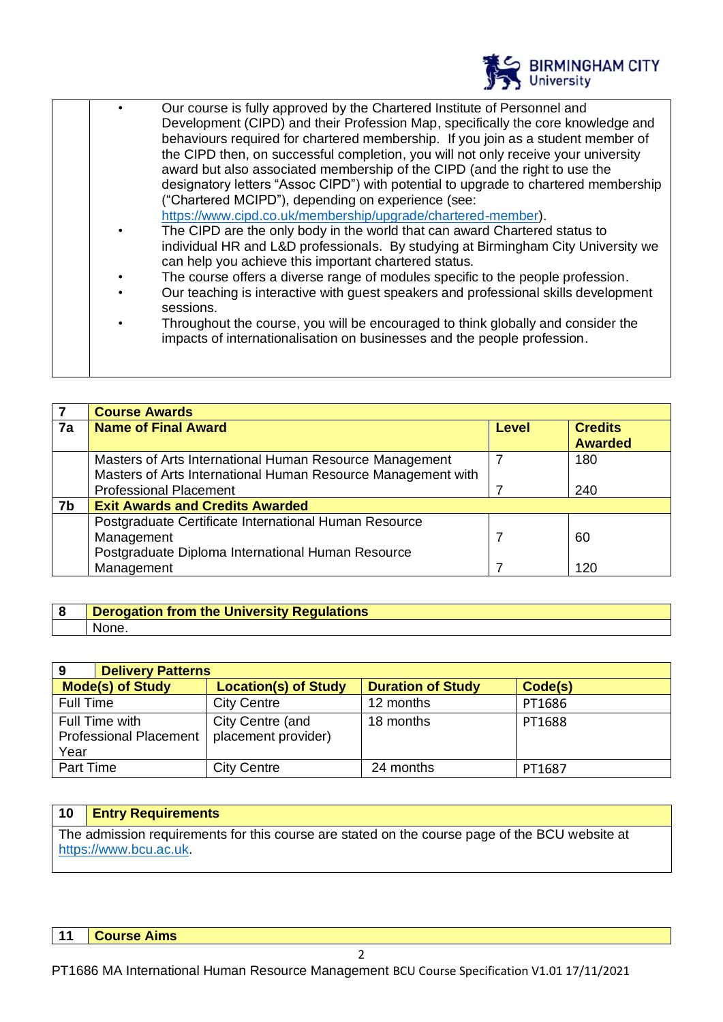

| $\bullet$ | Our course is fully approved by the Chartered Institute of Personnel and<br>Development (CIPD) and their Profession Map, specifically the core knowledge and<br>behaviours required for chartered membership. If you join as a student member of<br>the CIPD then, on successful completion, you will not only receive your university<br>award but also associated membership of the CIPD (and the right to use the<br>designatory letters "Assoc CIPD") with potential to upgrade to chartered membership<br>("Chartered MCIPD"), depending on experience (see:<br>https://www.cipd.co.uk/membership/upgrade/chartered-member).<br>The CIPD are the only body in the world that can award Chartered status to<br>individual HR and L&D professionals. By studying at Birmingham City University we<br>can help you achieve this important chartered status.<br>The course offers a diverse range of modules specific to the people profession.<br>Our teaching is interactive with guest speakers and professional skills development<br>sessions.<br>Throughout the course, you will be encouraged to think globally and consider the<br>impacts of internationalisation on businesses and the people profession. |
|-----------|----------------------------------------------------------------------------------------------------------------------------------------------------------------------------------------------------------------------------------------------------------------------------------------------------------------------------------------------------------------------------------------------------------------------------------------------------------------------------------------------------------------------------------------------------------------------------------------------------------------------------------------------------------------------------------------------------------------------------------------------------------------------------------------------------------------------------------------------------------------------------------------------------------------------------------------------------------------------------------------------------------------------------------------------------------------------------------------------------------------------------------------------------------------------------------------------------------------------|
|           |                                                                                                                                                                                                                                                                                                                                                                                                                                                                                                                                                                                                                                                                                                                                                                                                                                                                                                                                                                                                                                                                                                                                                                                                                      |
|           |                                                                                                                                                                                                                                                                                                                                                                                                                                                                                                                                                                                                                                                                                                                                                                                                                                                                                                                                                                                                                                                                                                                                                                                                                      |

|    | <b>Course Awards</b>                                         |              |                                  |
|----|--------------------------------------------------------------|--------------|----------------------------------|
| 7a | <b>Name of Final Award</b>                                   | <b>Level</b> | <b>Credits</b><br><b>Awarded</b> |
|    |                                                              |              |                                  |
|    | Masters of Arts International Human Resource Management      |              | 180                              |
|    | Masters of Arts International Human Resource Management with |              |                                  |
|    | <b>Professional Placement</b>                                |              | 240                              |
| 7b | <b>Exit Awards and Credits Awarded</b>                       |              |                                  |
|    | Postgraduate Certificate International Human Resource        |              |                                  |
|    | Management                                                   |              | 60                               |
|    | Postgraduate Diploma International Human Resource            |              |                                  |
|    | Management                                                   |              | 120                              |

| Derogation from the University Regulations |
|--------------------------------------------|
| None.                                      |

| 9                                                       | <b>Delivery Patterns</b>                |                          |         |  |
|---------------------------------------------------------|-----------------------------------------|--------------------------|---------|--|
| <b>Mode(s) of Study</b>                                 | <b>Location(s) of Study</b>             | <b>Duration of Study</b> | Code(s) |  |
| Full Time                                               | <b>City Centre</b>                      | 12 months                | PT1686  |  |
| Full Time with<br><b>Professional Placement</b><br>Year | City Centre (and<br>placement provider) | 18 months                | PT1688  |  |
| <b>Part Time</b>                                        | <b>City Centre</b>                      | 24 months                | PT1687  |  |

# **10 Entry Requirements**

The admission requirements for this course are stated on the course page of the BCU website at [https://www.bcu.ac.uk.](https://www.bcu.ac.uk/)

## **11 Course Aims**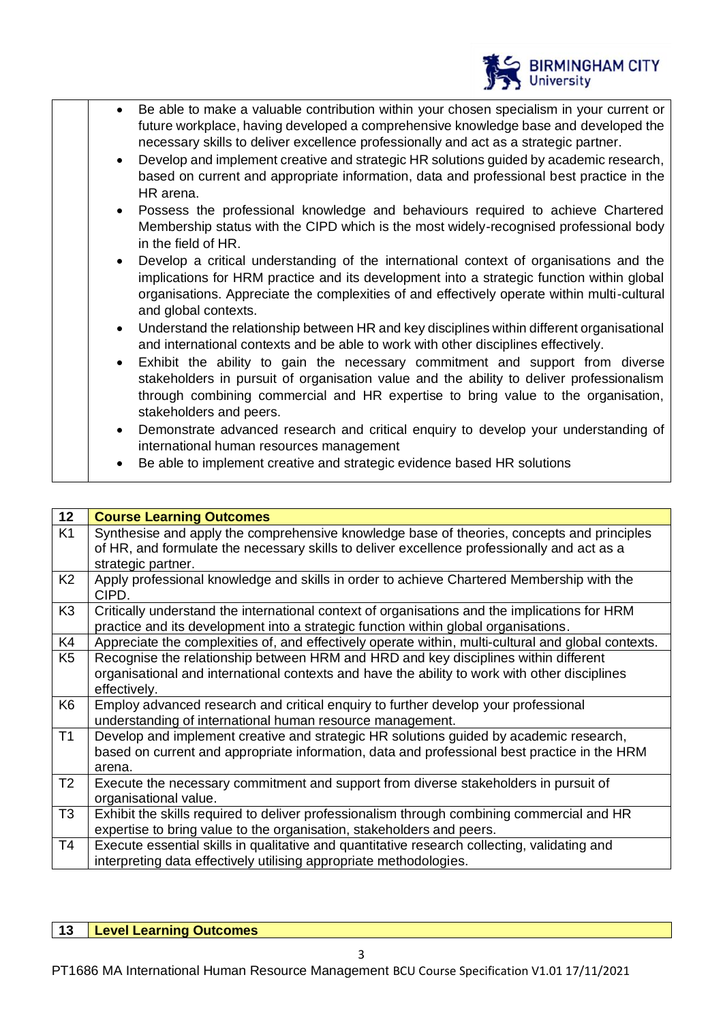

- Be able to make a valuable contribution within your chosen specialism in your current or future workplace, having developed a comprehensive knowledge base and developed the necessary skills to deliver excellence professionally and act as a strategic partner.
- Develop and implement creative and strategic HR solutions guided by academic research, based on current and appropriate information, data and professional best practice in the HR arena.
- Possess the professional knowledge and behaviours required to achieve Chartered Membership status with the CIPD which is the most widely-recognised professional body in the field of HR.
- Develop a critical understanding of the international context of organisations and the implications for HRM practice and its development into a strategic function within global organisations. Appreciate the complexities of and effectively operate within multi-cultural and global contexts.
- Understand the relationship between HR and key disciplines within different organisational and international contexts and be able to work with other disciplines effectively.
- Exhibit the ability to gain the necessary commitment and support from diverse stakeholders in pursuit of organisation value and the ability to deliver professionalism through combining commercial and HR expertise to bring value to the organisation, stakeholders and peers.
- Demonstrate advanced research and critical enquiry to develop your understanding of international human resources management
- Be able to implement creative and strategic evidence based HR solutions

| 12             | <b>Course Learning Outcomes</b>                                                                                                                                                                                 |
|----------------|-----------------------------------------------------------------------------------------------------------------------------------------------------------------------------------------------------------------|
| K <sub>1</sub> | Synthesise and apply the comprehensive knowledge base of theories, concepts and principles<br>of HR, and formulate the necessary skills to deliver excellence professionally and act as a<br>strategic partner. |
| K <sub>2</sub> | Apply professional knowledge and skills in order to achieve Chartered Membership with the<br>CIPD.                                                                                                              |
| K <sub>3</sub> | Critically understand the international context of organisations and the implications for HRM<br>practice and its development into a strategic function within global organisations.                            |
| K4             | Appreciate the complexities of, and effectively operate within, multi-cultural and global contexts.                                                                                                             |
| K <sub>5</sub> | Recognise the relationship between HRM and HRD and key disciplines within different<br>organisational and international contexts and have the ability to work with other disciplines<br>effectively.            |
| K <sub>6</sub> | Employ advanced research and critical enquiry to further develop your professional<br>understanding of international human resource management.                                                                 |
| T1             | Develop and implement creative and strategic HR solutions guided by academic research,<br>based on current and appropriate information, data and professional best practice in the HRM<br>arena.                |
| T <sub>2</sub> | Execute the necessary commitment and support from diverse stakeholders in pursuit of<br>organisational value.                                                                                                   |
| T <sub>3</sub> | Exhibit the skills required to deliver professionalism through combining commercial and HR<br>expertise to bring value to the organisation, stakeholders and peers.                                             |
| T <sub>4</sub> | Execute essential skills in qualitative and quantitative research collecting, validating and<br>interpreting data effectively utilising appropriate methodologies.                                              |
|                |                                                                                                                                                                                                                 |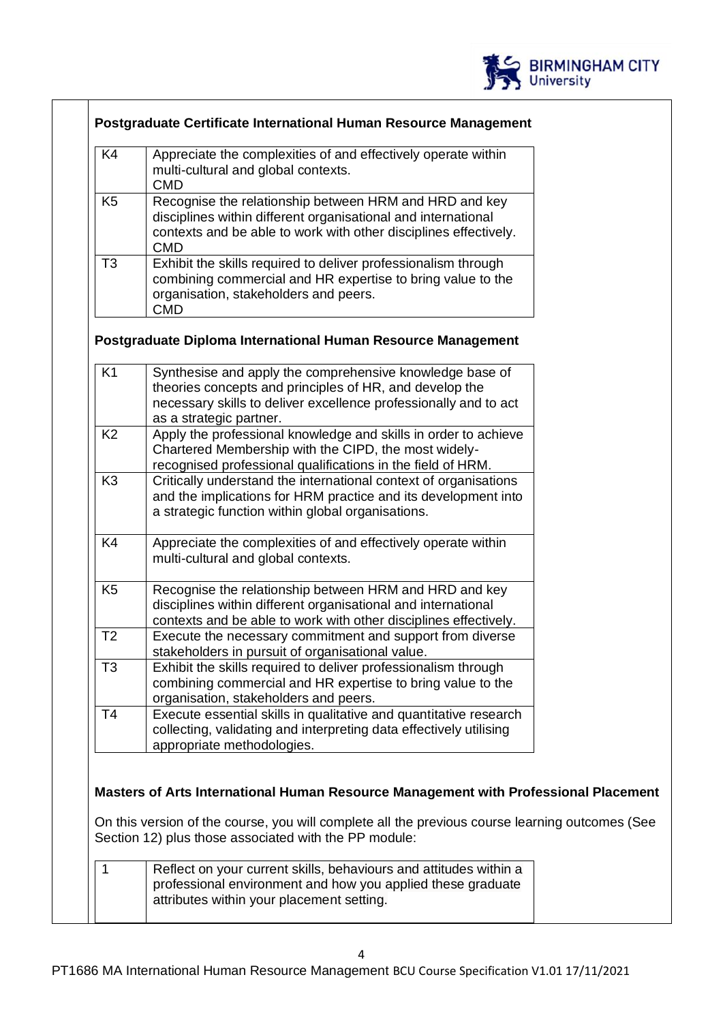

| K <sub>4</sub> | Appreciate the complexities of and effectively operate within<br>multi-cultural and global contexts.<br>CMD                                                                                        |
|----------------|----------------------------------------------------------------------------------------------------------------------------------------------------------------------------------------------------|
| K <sub>5</sub> | Recognise the relationship between HRM and HRD and key<br>disciplines within different organisational and international<br>contexts and be able to work with other disciplines effectively.<br>CMD |
| T3             | Exhibit the skills required to deliver professionalism through<br>combining commercial and HR expertise to bring value to the<br>organisation, stakeholders and peers.<br>CMD                      |

### **Postgraduate Diploma International Human Resource Management**

| Synthesise and apply the comprehensive knowledge base of<br>theories concepts and principles of HR, and develop the<br>necessary skills to deliver excellence professionally and to act<br>as a strategic partner. |
|--------------------------------------------------------------------------------------------------------------------------------------------------------------------------------------------------------------------|
| Apply the professional knowledge and skills in order to achieve<br>Chartered Membership with the CIPD, the most widely-<br>recognised professional qualifications in the field of HRM.                             |
| Critically understand the international context of organisations<br>and the implications for HRM practice and its development into<br>a strategic function within global organisations.                            |
| Appreciate the complexities of and effectively operate within<br>multi-cultural and global contexts.                                                                                                               |
| Recognise the relationship between HRM and HRD and key<br>disciplines within different organisational and international<br>contexts and be able to work with other disciplines effectively.                        |
| Execute the necessary commitment and support from diverse<br>stakeholders in pursuit of organisational value.                                                                                                      |
| Exhibit the skills required to deliver professionalism through<br>combining commercial and HR expertise to bring value to the<br>organisation, stakeholders and peers.                                             |
| Execute essential skills in qualitative and quantitative research<br>collecting, validating and interpreting data effectively utilising<br>appropriate methodologies.                                              |
|                                                                                                                                                                                                                    |

### **Masters of Arts International Human Resource Management with Professional Placement**

On this version of the course, you will complete all the previous course learning outcomes (See Section 12) plus those associated with the PP module:

|  | Reflect on your current skills, behaviours and attitudes within a |
|--|-------------------------------------------------------------------|
|  | professional environment and how you applied these graduate       |
|  | attributes within your placement setting.                         |
|  |                                                                   |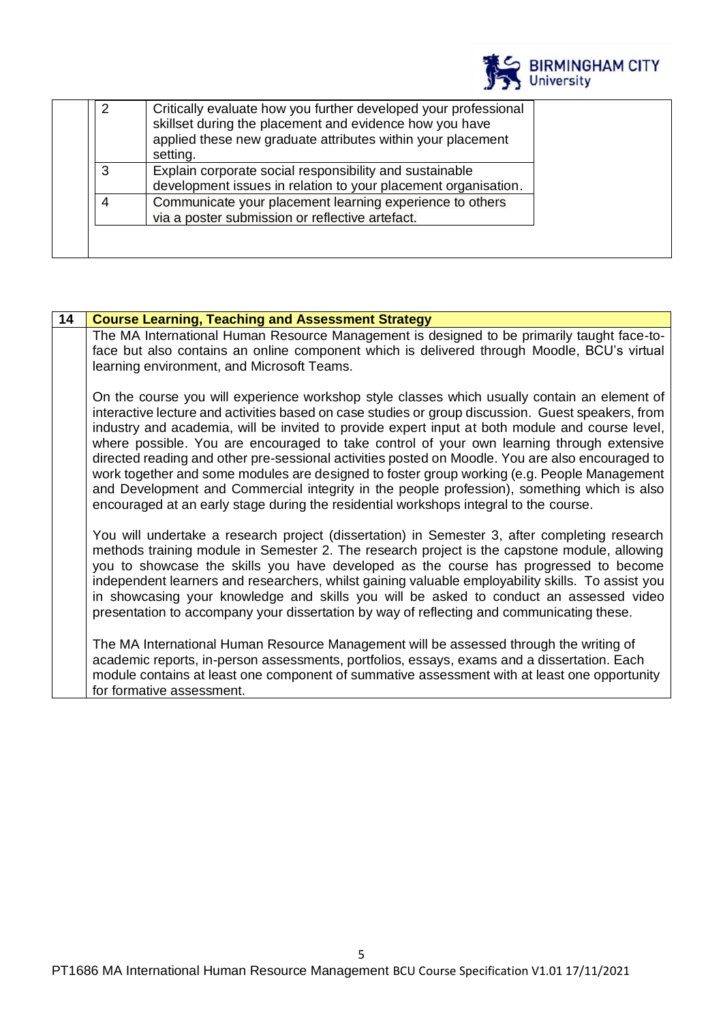

| skillset during the placement and evidence how you have<br>applied these new graduate attributes within your placement<br>setting. |
|------------------------------------------------------------------------------------------------------------------------------------|
| 3<br>Explain corporate social responsibility and sustainable<br>development issues in relation to your placement organisation.     |
| Communicate your placement learning experience to others<br>4<br>via a poster submission or reflective artefact.                   |

| 14 | <b>Course Learning, Teaching and Assessment Strategy</b>                                                                                                                                                                                                                                                                                                                                                                                                                                                                                                                                                                                                                                                                                                                                      |
|----|-----------------------------------------------------------------------------------------------------------------------------------------------------------------------------------------------------------------------------------------------------------------------------------------------------------------------------------------------------------------------------------------------------------------------------------------------------------------------------------------------------------------------------------------------------------------------------------------------------------------------------------------------------------------------------------------------------------------------------------------------------------------------------------------------|
|    | The MA International Human Resource Management is designed to be primarily taught face-to-<br>face but also contains an online component which is delivered through Moodle, BCU's virtual<br>learning environment, and Microsoft Teams.                                                                                                                                                                                                                                                                                                                                                                                                                                                                                                                                                       |
|    | On the course you will experience workshop style classes which usually contain an element of<br>interactive lecture and activities based on case studies or group discussion. Guest speakers, from<br>industry and academia, will be invited to provide expert input at both module and course level,<br>where possible. You are encouraged to take control of your own learning through extensive<br>directed reading and other pre-sessional activities posted on Moodle. You are also encouraged to<br>work together and some modules are designed to foster group working (e.g. People Management<br>and Development and Commercial integrity in the people profession), something which is also<br>encouraged at an early stage during the residential workshops integral to the course. |
|    | You will undertake a research project (dissertation) in Semester 3, after completing research<br>methods training module in Semester 2. The research project is the capstone module, allowing<br>you to showcase the skills you have developed as the course has progressed to become<br>independent learners and researchers, whilst gaining valuable employability skills. To assist you<br>in showcasing your knowledge and skills you will be asked to conduct an assessed video<br>presentation to accompany your dissertation by way of reflecting and communicating these.                                                                                                                                                                                                             |
|    | The MA International Human Resource Management will be assessed through the writing of<br>academic reports, in-person assessments, portfolios, essays, exams and a dissertation. Each<br>module contains at least one component of summative assessment with at least one opportunity<br>for formative assessment.                                                                                                                                                                                                                                                                                                                                                                                                                                                                            |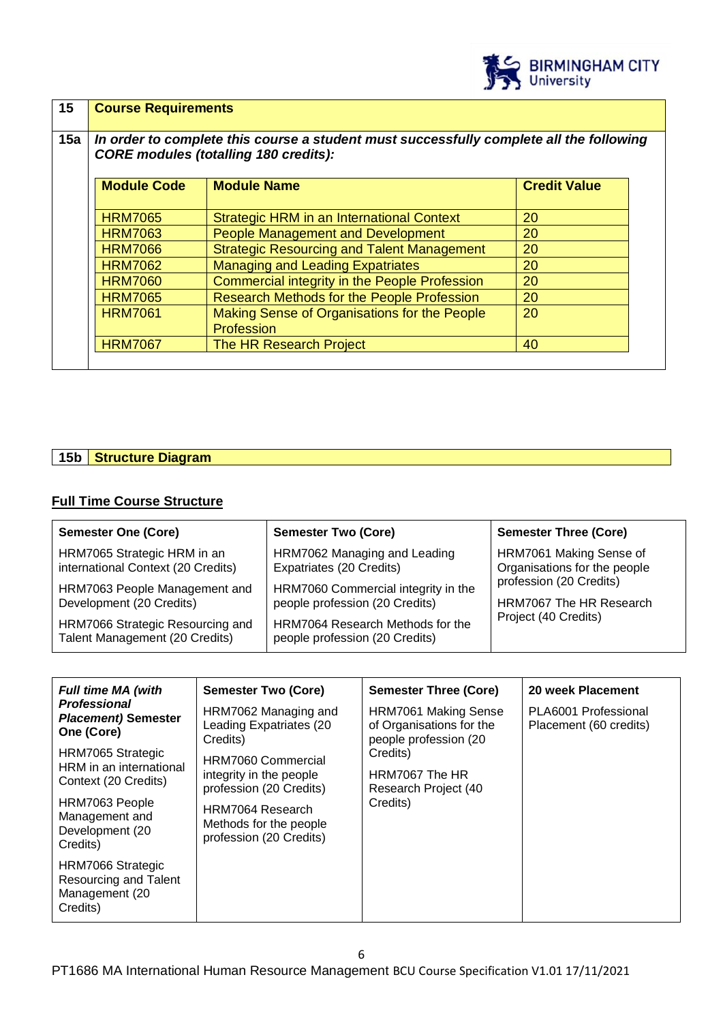

| 15<br>15a | <b>Course Requirements</b><br>In order to complete this course a student must successfully complete all the following<br><b>CORE modules (totalling 180 credits):</b> |                                                            |                     |
|-----------|-----------------------------------------------------------------------------------------------------------------------------------------------------------------------|------------------------------------------------------------|---------------------|
|           | <b>Module Code</b>                                                                                                                                                    | <b>Module Name</b>                                         | <b>Credit Value</b> |
|           | <b>HRM7065</b>                                                                                                                                                        | Strategic HRM in an International Context                  | 20                  |
|           | <b>HRM7063</b>                                                                                                                                                        | <b>People Management and Development</b>                   | 20                  |
|           | <b>HRM7066</b>                                                                                                                                                        | <b>Strategic Resourcing and Talent Management</b>          | 20                  |
|           | <b>HRM7062</b>                                                                                                                                                        | <b>Managing and Leading Expatriates</b>                    | 20                  |
|           | <b>HRM7060</b>                                                                                                                                                        | Commercial integrity in the People Profession              | 20                  |
|           | <b>HRM7065</b>                                                                                                                                                        | <b>Research Methods for the People Profession</b>          | 20                  |
|           | <b>HRM7061</b>                                                                                                                                                        | Making Sense of Organisations for the People<br>Profession | 20                  |
|           | <b>HRM7067</b>                                                                                                                                                        | The HR Research Project                                    | 40                  |

## **15b Structure Diagram**

#### **Full Time Course Structure**

| <b>Semester One (Core)</b>                                         | <b>Semester Two (Core)</b>                                         | <b>Semester Three (Core)</b> |
|--------------------------------------------------------------------|--------------------------------------------------------------------|------------------------------|
| HRM7065 Strategic HRM in an                                        | HRM7062 Managing and Leading                                       | HRM7061 Making Sense of      |
| international Context (20 Credits)                                 | Expatriates (20 Credits)                                           | Organisations for the people |
| HRM7063 People Management and                                      | HRM7060 Commercial integrity in the                                | profession (20 Credits)      |
| Development (20 Credits)                                           | people profession (20 Credits)                                     | HRM7067 The HR Research      |
| HRM7066 Strategic Resourcing and<br>Talent Management (20 Credits) | HRM7064 Research Methods for the<br>people profession (20 Credits) | Project (40 Credits)         |

| <b>Full time MA (with</b>                                                | <b>Semester Two (Core)</b>                                                                                                                        | <b>Semester Three (Core)</b>                                                     | 20 week Placement                              |
|--------------------------------------------------------------------------|---------------------------------------------------------------------------------------------------------------------------------------------------|----------------------------------------------------------------------------------|------------------------------------------------|
| <b>Professional</b><br><b>Placement) Semester</b><br>One (Core)          | HRM7062 Managing and<br>Leading Expatriates (20<br>Credits)                                                                                       | <b>HRM7061 Making Sense</b><br>of Organisations for the<br>people profession (20 | PLA6001 Professional<br>Placement (60 credits) |
| HRM7065 Strategic<br>HRM in an international<br>Context (20 Credits)     | HRM7060 Commercial<br>integrity in the people<br>profession (20 Credits)<br>HRM7064 Research<br>Methods for the people<br>profession (20 Credits) | Credits)<br>HRM7067 The HR<br>Research Project (40<br>Credits)                   |                                                |
| HRM7063 People<br>Management and<br>Development (20<br>Credits)          |                                                                                                                                                   |                                                                                  |                                                |
| HRM7066 Strategic<br>Resourcing and Talent<br>Management (20<br>Credits) |                                                                                                                                                   |                                                                                  |                                                |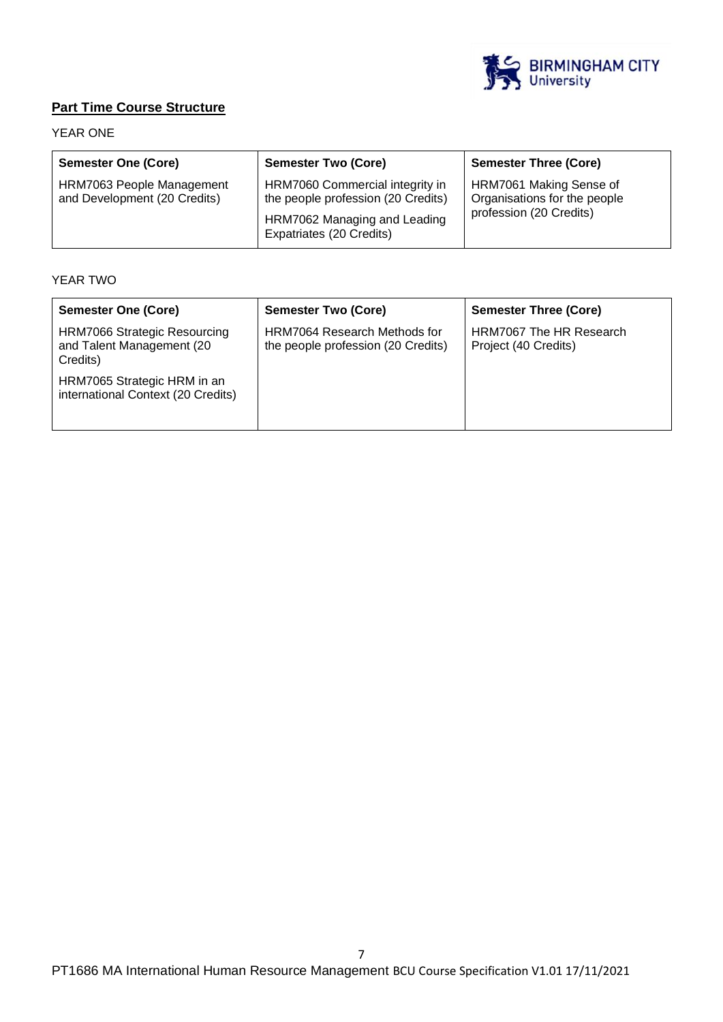

# **Part Time Course Structure**

### YEAR ONE

| <b>Semester One (Core)</b>                                | <b>Semester Two (Core)</b>                                                                                                        | <b>Semester Three (Core)</b>                                                       |
|-----------------------------------------------------------|-----------------------------------------------------------------------------------------------------------------------------------|------------------------------------------------------------------------------------|
| HRM7063 People Management<br>and Development (20 Credits) | HRM7060 Commercial integrity in<br>the people profession (20 Credits)<br>HRM7062 Managing and Leading<br>Expatriates (20 Credits) | HRM7061 Making Sense of<br>Organisations for the people<br>profession (20 Credits) |

### YEAR TWO

| <b>Semester One (Core)</b>                                                   | <b>Semester Two (Core)</b>                                                | <b>Semester Three (Core)</b>                    |
|------------------------------------------------------------------------------|---------------------------------------------------------------------------|-------------------------------------------------|
| <b>HRM7066 Strategic Resourcing</b><br>and Talent Management (20<br>Credits) | <b>HRM7064 Research Methods for</b><br>the people profession (20 Credits) | HRM7067 The HR Research<br>Project (40 Credits) |
| HRM7065 Strategic HRM in an<br>international Context (20 Credits)            |                                                                           |                                                 |